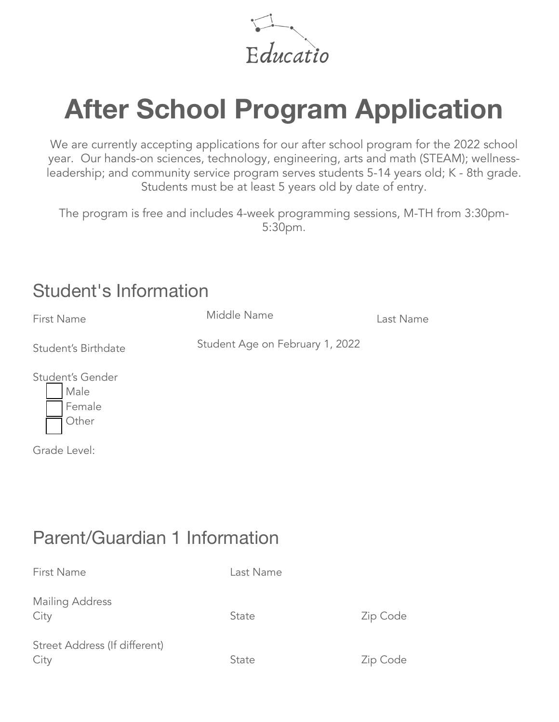Educatio

# **After School Program Application**

We are currently accepting applications for our after school program for the 2022 school year. Our hands-on sciences, technology, engineering, arts and math (STEAM); wellnessleadership; and community service program serves students 5-14 years old; K - 8th grade. Students must be at least 5 years old by date of entry.

The program is free and includes 4-week programming sessions, M-TH from 3:30pm-5:30pm.

#### Student's Information

| First Name                                  | Middle Name                     | Last Name |
|---------------------------------------------|---------------------------------|-----------|
| Student's Birthdate                         | Student Age on February 1, 2022 |           |
| Student's Gender<br>Male<br>Female<br>Other |                                 |           |
| Grade Level:                                |                                 |           |

## Parent/Guardian 1 Information

| First Name                            | Last Name |          |
|---------------------------------------|-----------|----------|
| <b>Mailing Address</b><br>City        | State     | Zip Code |
| Street Address (If different)<br>City | State     | Zip Code |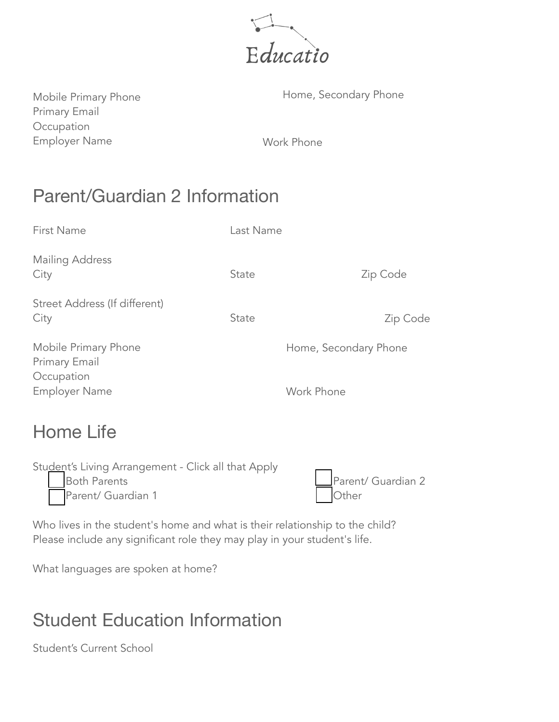

Primary Email Occupation Employer Name Work Phone

Mobile Primary Phone **Home, Secondary Phone** 

## Parent/Guardian 2 Information

| <b>First Name</b>                                   | Last Name |                       |
|-----------------------------------------------------|-----------|-----------------------|
| Mailing Address<br>City                             | State     | Zip Code              |
| Street Address (If different)<br>City               | State     | Zip Code              |
| Mobile Primary Phone<br>Primary Email<br>Occupation |           | Home, Secondary Phone |
| <b>Employer Name</b>                                |           | Work Phone            |

# Home Life

| Student's Living Arrangement - Click all that Apply |                    |
|-----------------------------------------------------|--------------------|
| <b>Both Parents</b>                                 | Parent/ Guardian 2 |
| Parent/ Guardian 1                                  | Other              |
|                                                     |                    |

Who lives in the student's home and what is their relationship to the child? Please include any significant role they may play in your student's life.

What languages are spoken at home?

# Student Education Information

Student's Current School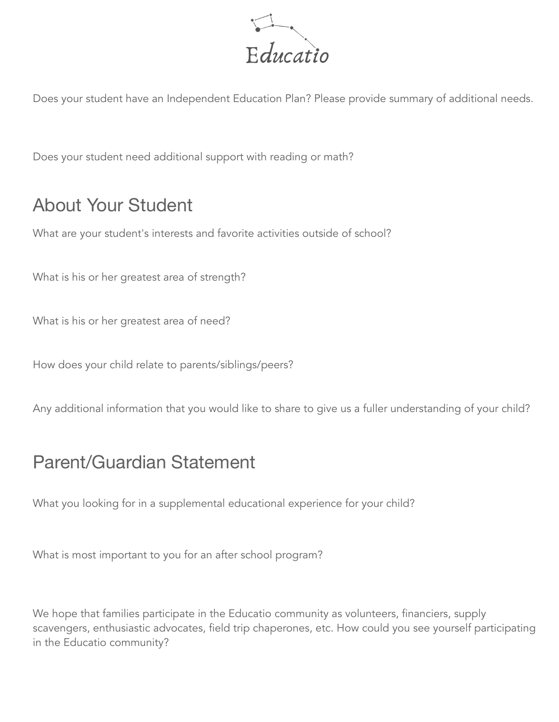

Does your student have an Independent Education Plan? Please provide summary of additional needs.

Does your student need additional support with reading or math?

#### About Your Student

What are your student's interests and favorite activities outside of school?

What is his or her greatest area of strength?

What is his or her greatest area of need?

How does your child relate to parents/siblings/peers?

Any additional information that you would like to share to give us a fuller understanding of your child?

#### Parent/Guardian Statement

What you looking for in a supplemental educational experience for your child?

What is most important to you for an after school program?

We hope that families participate in the Educatio community as volunteers, financiers, supply scavengers, enthusiastic advocates, field trip chaperones, etc. How could you see yourself participating in the Educatio community?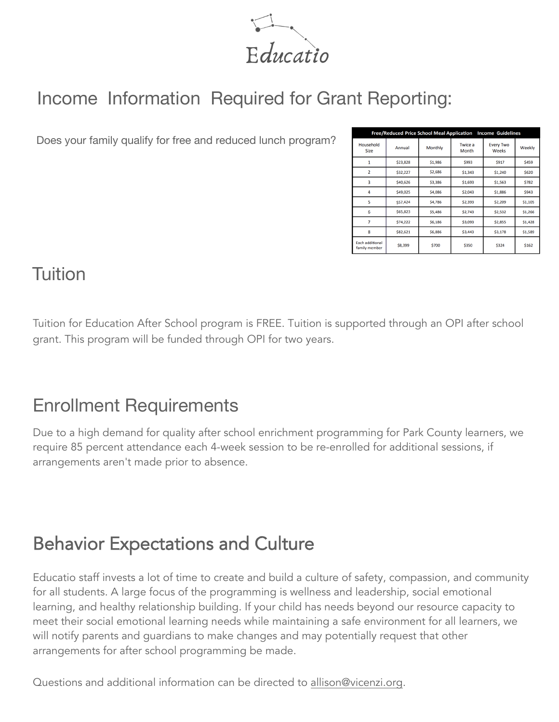$Educatio$ 

## Income Information Required for Grant Reporting:

Does your family qualify for free and reduced lunch program?

| <b>Free/Reduced Price School Meal Application</b><br><b>Income Guidelines</b> |          |                |                         |                           |         |  |
|-------------------------------------------------------------------------------|----------|----------------|-------------------------|---------------------------|---------|--|
| Household<br><b>Size</b>                                                      | Annual   | <b>Monthly</b> | <b>Twice a</b><br>Month | <b>Every Two</b><br>Weeks | Weekly  |  |
|                                                                               | \$23,828 | \$1,986        | \$993                   | \$917                     | \$459   |  |
| $\overline{a}$                                                                | \$32,227 | \$2,686        | \$1,343                 | \$1,240                   | \$620   |  |
| 3                                                                             | \$40,626 | \$3,386        | \$1,693                 | \$1,563                   | \$782   |  |
| 4                                                                             | \$49,025 | \$4,086        | \$2,043                 | \$1,886                   | \$943   |  |
| 5                                                                             | \$57,424 | \$4,786        | \$2,393                 | \$2,209                   | \$1,105 |  |
| 6                                                                             | \$65,823 | \$5,486        | \$2,743                 | \$2,532                   | \$1,266 |  |
| 7                                                                             | \$74,222 | \$6,186        | \$3,093                 | \$2,855                   | \$1,428 |  |
| 8                                                                             | \$82,621 | \$6,886        | \$3,443                 | \$3,178                   | \$1,589 |  |
| <b>Each additional</b><br>family member                                       | \$8,399  | \$700          | \$350                   | \$324                     | \$162   |  |

#### Tuition

Tuition for Education After School program is FREE. Tuition is supported through an OPI after school grant. This program will be funded through OPI for two years.

#### Enrollment Requirements

Due to a high demand for quality after school enrichment programming for Park County learners, we require 85 percent attendance each 4-week session to be re-enrolled for additional sessions, if arrangements aren't made prior to absence.

# Behavior Expectations and Culture

Educatio staff invests a lot of time to create and build a culture of safety, compassion, and community for all students. A large focus of the programming is wellness and leadership, social emotional learning, and healthy relationship building. If your child has needs beyond our resource capacity to meet their social emotional learning needs while maintaining a safe environment for all learners, we will notify parents and guardians to make changes and may potentially request that other arrangements for after school programming be made.

Questions and additional information can be directed to allison@vicenzi.org.